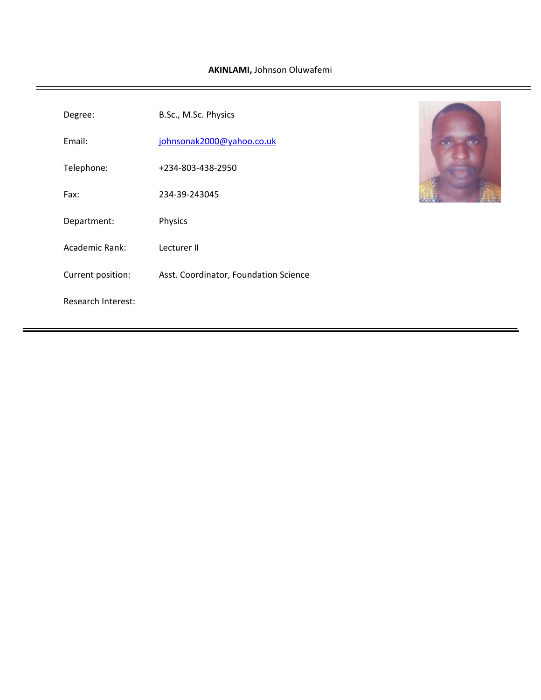| Degree:                   | B.Sc., M.Sc. Physics                  |  |
|---------------------------|---------------------------------------|--|
| Email:                    | johnsonak2000@yahoo.co.uk             |  |
| Telephone:                | +234-803-438-2950                     |  |
| Fax:                      | 234-39-243045                         |  |
| Department:               | Physics                               |  |
| Academic Rank:            | Lecturer II                           |  |
| Current position:         | Asst. Coordinator, Foundation Science |  |
| <b>Research Interest:</b> |                                       |  |
|                           |                                       |  |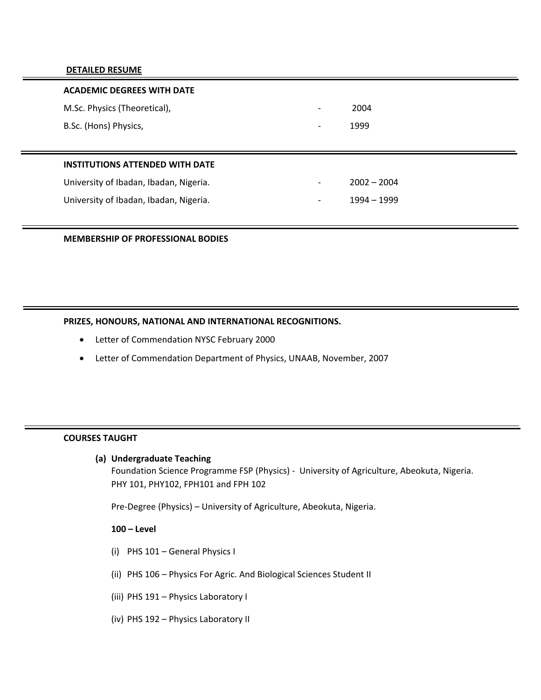### **DETAILED RESUME**

| <b>ACADEMIC DEGREES WITH DATE</b>      |                          |               |
|----------------------------------------|--------------------------|---------------|
| M.Sc. Physics (Theoretical),           | -                        | 2004          |
| B.Sc. (Hons) Physics,                  | $\overline{\phantom{0}}$ | 1999          |
|                                        |                          |               |
| <b>INSTITUTIONS ATTENDED WITH DATE</b> |                          |               |
| University of Ibadan, Ibadan, Nigeria. |                          | $2002 - 2004$ |
|                                        |                          |               |
| University of Ibadan, Ibadan, Nigeria. | $\overline{\phantom{0}}$ | 1994 - 1999   |

## **MEMBERSHIP OF PROFESSIONAL BODIES**

# **PRIZES, HONOURS, NATIONAL AND INTERNATIONAL RECOGNITIONS.**

- Letter of Commendation NYSC February 2000
- Letter of Commendation Department of Physics, UNAAB, November, 2007

### **COURSES TAUGHT**

## **(a) Undergraduate Teaching**

Foundation Science Programme FSP (Physics) ‐ University of Agriculture, Abeokuta, Nigeria. PHY 101, PHY102, FPH101 and FPH 102

Pre‐Degree (Physics) – University of Agriculture, Abeokuta, Nigeria.

## **100 – Level**

- (i) PHS 101 General Physics I
- (ii) PHS 106 Physics For Agric. And Biological Sciences Student II
- (iii) PHS 191 Physics Laboratory I
- (iv) PHS 192 Physics Laboratory II